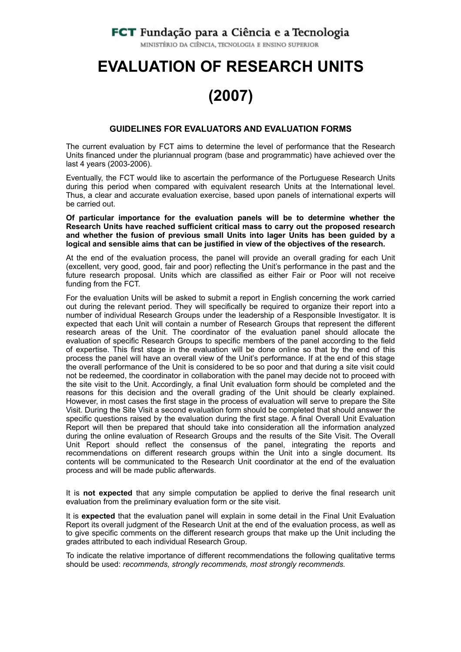# **FCT** Fundação para a Ciência e a Tecnologia

MINISTÉRIO DA CIÊNCIA, TECNOLOGIA E ENSINO SUPERIOR

# **EVALUATION OF RESEARCH UNITS (2007)**

#### **GUIDELINES FOR EVALUATORS AND EVALUATION FORMS**

The current evaluation by FCT aims to determine the level of performance that the Research Units financed under the pluriannual program (base and programmatic) have achieved over the last 4 years (2003-2006).

Eventually, the FCT would like to ascertain the performance of the Portuguese Research Units during this period when compared with equivalent research Units at the International level. Thus, a clear and accurate evaluation exercise, based upon panels of international experts will be carried out.

**Of particular importance for the evaluation panels will be to determine whether the Research Units have reached sufficient critical mass to carry out the proposed research and whether the fusion of previous small Units into lager Units has been guided by a logical and sensible aims that can be justified in view of the objectives of the research.** 

At the end of the evaluation process, the panel will provide an overall grading for each Unit (excellent, very good, good, fair and poor) reflecting the Unit's performance in the past and the future research proposal. Units which are classified as either Fair or Poor will not receive funding from the FCT.

For the evaluation Units will be asked to submit a report in English concerning the work carried out during the relevant period. They will specifically be required to organize their report into a number of individual Research Groups under the leadership of a Responsible Investigator. It is expected that each Unit will contain a number of Research Groups that represent the different research areas of the Unit. The coordinator of the evaluation panel should allocate the evaluation of specific Research Groups to specific members of the panel according to the field of expertise. This first stage in the evaluation will be done online so that by the end of this process the panel will have an overall view of the Unit's performance. If at the end of this stage the overall performance of the Unit is considered to be so poor and that during a site visit could not be redeemed, the coordinator in collaboration with the panel may decide not to proceed with the site visit to the Unit. Accordingly, a final Unit evaluation form should be completed and the reasons for this decision and the overall grading of the Unit should be clearly explained. However, in most cases the first stage in the process of evaluation will serve to prepare the Site Visit. During the Site Visit a second evaluation form should be completed that should answer the specific questions raised by the evaluation during the first stage. A final Overall Unit Evaluation Report will then be prepared that should take into consideration all the information analyzed during the online evaluation of Research Groups and the results of the Site Visit. The Overall Unit Report should reflect the consensus of the panel, integrating the reports and recommendations on different research groups within the Unit into a single document. Its contents will be communicated to the Research Unit coordinator at the end of the evaluation process and will be made public afterwards.

It is **not expected** that any simple computation be applied to derive the final research unit evaluation from the preliminary evaluation form or the site visit.

It is **expected** that the evaluation panel will explain in some detail in the Final Unit Evaluation Report its overall judgment of the Research Unit at the end of the evaluation process, as well as to give specific comments on the different research groups that make up the Unit including the grades attributed to each individual Research Group.

To indicate the relative importance of different recommendations the following qualitative terms should be used: *recommends, strongly recommends, most strongly recommends.*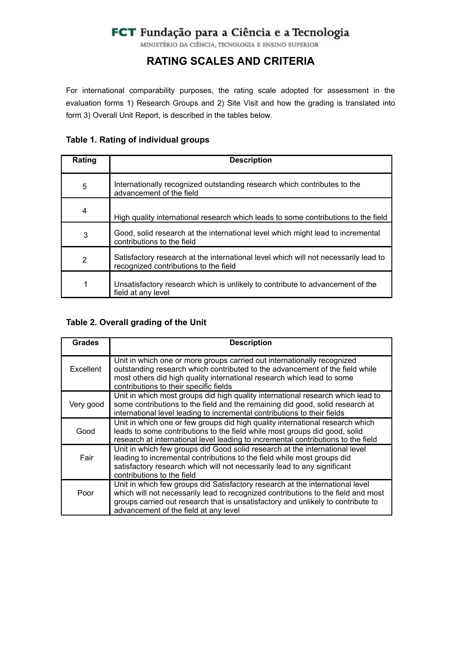# FCT Fundação para a Ciência e a Tecnologia

MINISTÉRIO DA CIÊNCIA, TECNOLOGIA E ENSINO SUPERIOR

# **RATING SCALES AND CRITERIA**

For international comparability purposes, the rating scale adopted for assessment in the evaluation forms 1) Research Groups and 2) Site Visit and how the grading is translated into form 3) Overall Unit Report, is described in the tables below.

# **Table 1. Rating of individual groups**

| Rating         | <b>Description</b>                                                                                                           |
|----------------|------------------------------------------------------------------------------------------------------------------------------|
| $\sqrt{5}$     | Internationally recognized outstanding research which contributes to the<br>advancement of the field                         |
| 4              | High quality international research which leads to some contributions to the field                                           |
| 3              | Good, solid research at the international level which might lead to incremental<br>contributions to the field                |
| $\overline{2}$ | Satisfactory research at the international level which will not necessarily lead to<br>recognized contributions to the field |
| 1              | Unsatisfactory research which is unlikely to contribute to advancement of the<br>field at any level                          |

# **Table 2. Overall grading of the Unit**

| <b>Grades</b>    | <b>Description</b>                                                                                                                                                                                                                                                                              |  |  |  |  |
|------------------|-------------------------------------------------------------------------------------------------------------------------------------------------------------------------------------------------------------------------------------------------------------------------------------------------|--|--|--|--|
| <b>Excellent</b> | Unit in which one or more groups carried out internationally recognized<br>outstanding research which contributed to the advancement of the field while<br>most others did high quality international research which lead to some<br>contributions to their specific fields                     |  |  |  |  |
| Very good        | Unit in which most groups did high quality international research which lead to<br>some contributions to the field and the remaining did good, solid research at<br>international level leading to incremental contributions to their fields                                                    |  |  |  |  |
| Good             | Unit in which one or few groups did high quality international research which<br>leads to some contributions to the field while most groups did good, solid<br>research at international level leading to incremental contributions to the field                                                |  |  |  |  |
| Fair             | Unit in which few groups did Good solid research at the international level<br>leading to incremental contributions to the field while most groups did<br>satisfactory research which will not necessarily lead to any significant<br>contributions to the field                                |  |  |  |  |
| Poor             | Unit in which few groups did Satisfactory research at the international level<br>which will not necessarily lead to recognized contributions to the field and most<br>groups carried out research that is unsatisfactory and unlikely to contribute to<br>advancement of the field at any level |  |  |  |  |